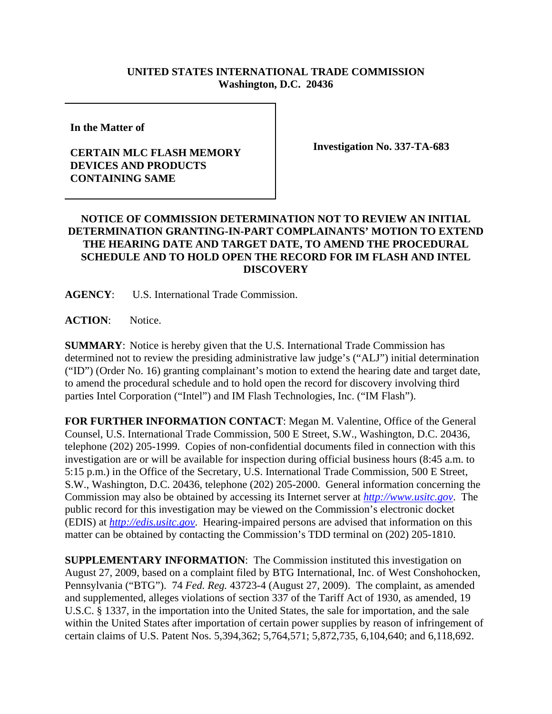## **UNITED STATES INTERNATIONAL TRADE COMMISSION Washington, D.C. 20436**

**In the Matter of** 

## **CERTAIN MLC FLASH MEMORY DEVICES AND PRODUCTS CONTAINING SAME**

**Investigation No. 337-TA-683**

## **NOTICE OF COMMISSION DETERMINATION NOT TO REVIEW AN INITIAL DETERMINATION GRANTING-IN-PART COMPLAINANTS' MOTION TO EXTEND THE HEARING DATE AND TARGET DATE, TO AMEND THE PROCEDURAL SCHEDULE AND TO HOLD OPEN THE RECORD FOR IM FLASH AND INTEL DISCOVERY**

**AGENCY**: U.S. International Trade Commission.

**ACTION**: Notice.

**SUMMARY**: Notice is hereby given that the U.S. International Trade Commission has determined not to review the presiding administrative law judge's ("ALJ") initial determination ("ID") (Order No. 16) granting complainant's motion to extend the hearing date and target date, to amend the procedural schedule and to hold open the record for discovery involving third parties Intel Corporation ("Intel") and IM Flash Technologies, Inc. ("IM Flash").

**FOR FURTHER INFORMATION CONTACT**: Megan M. Valentine, Office of the General Counsel, U.S. International Trade Commission, 500 E Street, S.W., Washington, D.C. 20436, telephone (202) 205-1999. Copies of non-confidential documents filed in connection with this investigation are or will be available for inspection during official business hours (8:45 a.m. to 5:15 p.m.) in the Office of the Secretary, U.S. International Trade Commission, 500 E Street, S.W., Washington, D.C. 20436, telephone (202) 205-2000. General information concerning the Commission may also be obtained by accessing its Internet server at *http://www.usitc.gov*. The public record for this investigation may be viewed on the Commission's electronic docket (EDIS) at *http://edis.usitc.gov*. Hearing-impaired persons are advised that information on this matter can be obtained by contacting the Commission's TDD terminal on (202) 205-1810.

**SUPPLEMENTARY INFORMATION**: The Commission instituted this investigation on August 27, 2009, based on a complaint filed by BTG International, Inc. of West Conshohocken, Pennsylvania ("BTG"). 74 *Fed. Reg.* 43723-4 (August 27, 2009). The complaint, as amended and supplemented, alleges violations of section 337 of the Tariff Act of 1930, as amended, 19 U.S.C. § 1337, in the importation into the United States, the sale for importation, and the sale within the United States after importation of certain power supplies by reason of infringement of certain claims of U.S. Patent Nos. 5,394,362; 5,764,571; 5,872,735, 6,104,640; and 6,118,692.